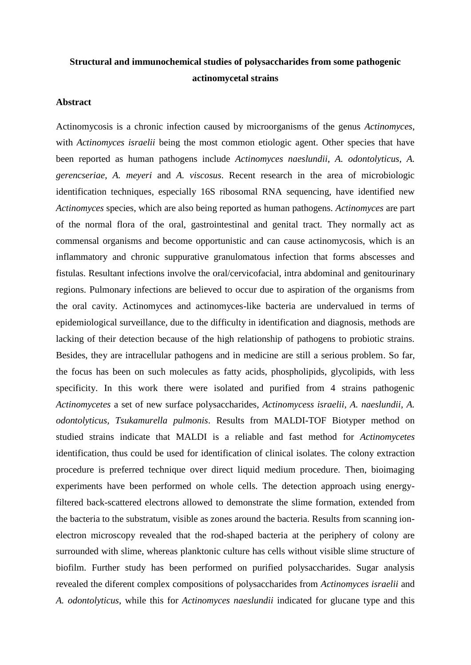## **Structural and immunochemical studies of polysaccharides from some pathogenic actinomycetal strains**

## **Abstract**

Actinomycosis is a chronic infection caused by microorganisms of the genus *Actinomyces*, with *Actinomyces israelii* being the most common etiologic agent. Other species that have been reported as human pathogens include *Actinomyces naeslundii*, *A. odontolyticus*, *A. gerencseriae*, *A. meyeri* and *A. viscosus*. Recent research in the area of microbiologic identification techniques, especially 16S ribosomal RNA sequencing, have identified new *Actinomyces* species, which are also being reported as human pathogens. *Actinomyces* are part of the normal flora of the oral, gastrointestinal and genital tract. They normally act as commensal organisms and become opportunistic and can cause actinomycosis, which is an inflammatory and chronic suppurative granulomatous infection that forms abscesses and fistulas. Resultant infections involve the oral/cervicofacial, intra abdominal and genitourinary regions. Pulmonary infections are believed to occur due to aspiration of the organisms from the oral cavity. Actinomyces and actinomyces-like bacteria are undervalued in terms of epidemiological surveillance, due to the difficulty in identification and diagnosis, methods are lacking of their detection because of the high relationship of pathogens to probiotic strains. Besides, they are intracellular pathogens and in medicine are still a serious problem. So far, the focus has been on such molecules as fatty acids, phospholipids, glycolipids, with less specificity. In this work there were isolated and purified from 4 strains pathogenic *Actinomycetes* a set of new surface polysaccharides, *Actinomycess israelii, A. naeslundii, A. odontolyticus, Tsukamurella pulmonis*. Results from MALDI-TOF Biotyper method on studied strains indicate that MALDI is a reliable and fast method for *Actinomycetes* identification, thus could be used for identification of clinical isolates. The colony extraction procedure is preferred technique over direct liquid medium procedure. Then, bioimaging experiments have been performed on whole cells. The detection approach using energyfiltered back-scattered electrons allowed to demonstrate the slime formation, extended from the bacteria to the substratum, visible as zones around the bacteria. Results from scanning ionelectron microscopy revealed that the rod-shaped bacteria at the periphery of colony are surrounded with slime, whereas planktonic culture has cells without visible slime structure of biofilm. Further study has been performed on purified polysaccharides. Sugar analysis revealed the diferent complex compositions of polysaccharides from *Actinomyces israelii* and *A. odontolyticus*, while this for *Actinomyces naeslundii* indicated for glucane type and this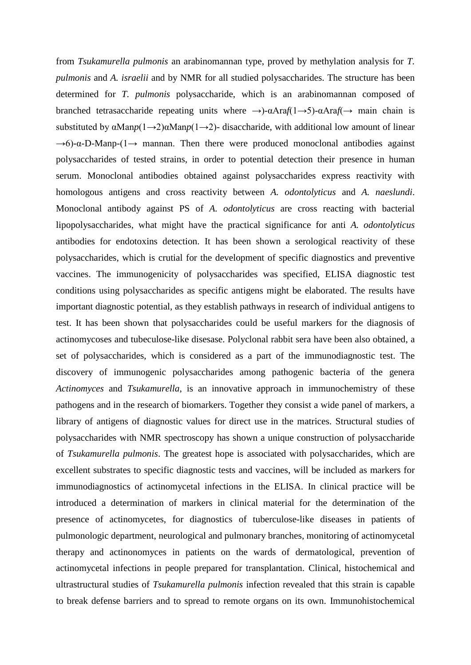from *Tsukamurella pulmonis* an arabinomannan type, proved by methylation analysis for *T. pulmonis* and *A. israelii* and by NMR for all studied polysaccharides. The structure has been determined for *T. pulmonis* polysaccharide, which is an arabinomannan composed of branched tetrasaccharide repeating units where →)-αAra*f*(1→5)-αAra*f*(→ main chain is substituted by  $\alpha \text{Map}(1 \rightarrow 2) \alpha \text{Map}(1 \rightarrow 2)$ - disaccharide, with additional low amount of linear  $\rightarrow$ 6)-α-D-Manp-(1 $\rightarrow$  mannan. Then there were produced monoclonal antibodies against polysaccharides of tested strains, in order to potential detection their presence in human serum. Monoclonal antibodies obtained against polysaccharides express reactivity with homologous antigens and cross reactivity between *A. odontolyticus* and *A. naeslundi*. Monoclonal antibody against PS of *A. odontolyticus* are cross reacting with bacterial lipopolysaccharides, what might have the practical significance for anti *A. odontolyticus* antibodies for endotoxins detection. It has been shown a serological reactivity of these polysaccharides, which is crutial for the development of specific diagnostics and preventive vaccines. The immunogenicity of polysaccharides was specified, ELISA diagnostic test conditions using polysaccharides as specific antigens might be elaborated. The results have important diagnostic potential, as they establish pathways in research of individual antigens to test. It has been shown that polysaccharides could be useful markers for the diagnosis of actinomycoses and tubeculose-like disesase. Polyclonal rabbit sera have been also obtained, a set of polysaccharides, which is considered as a part of the immunodiagnostic test. The discovery of immunogenic polysaccharides among pathogenic bacteria of the genera *Actinomyces* and *Tsukamurella*, is an innovative approach in immunochemistry of these pathogens and in the research of biomarkers. Together they consist a wide panel of markers, a library of antigens of diagnostic values for direct use in the matrices. Structural studies of polysaccharides with NMR spectroscopy has shown a unique construction of polysaccharide of *Tsukamurella pulmonis*. The greatest hope is associated with polysaccharides, which are excellent substrates to specific diagnostic tests and vaccines, will be included as markers for immunodiagnostics of actinomycetal infections in the ELISA. In clinical practice will be introduced a determination of markers in clinical material for the determination of the presence of actinomycetes, for diagnostics of tuberculose-like diseases in patients of pulmonologic department, neurological and pulmonary branches, monitoring of actinomycetal therapy and actinonomyces in patients on the wards of dermatological, prevention of actinomycetal infections in people prepared for transplantation. Clinical, histochemical and ultrastructural studies of *Tsukamurella pulmonis* infection revealed that this strain is capable to break defense barriers and to spread to remote organs on its own. Immunohistochemical